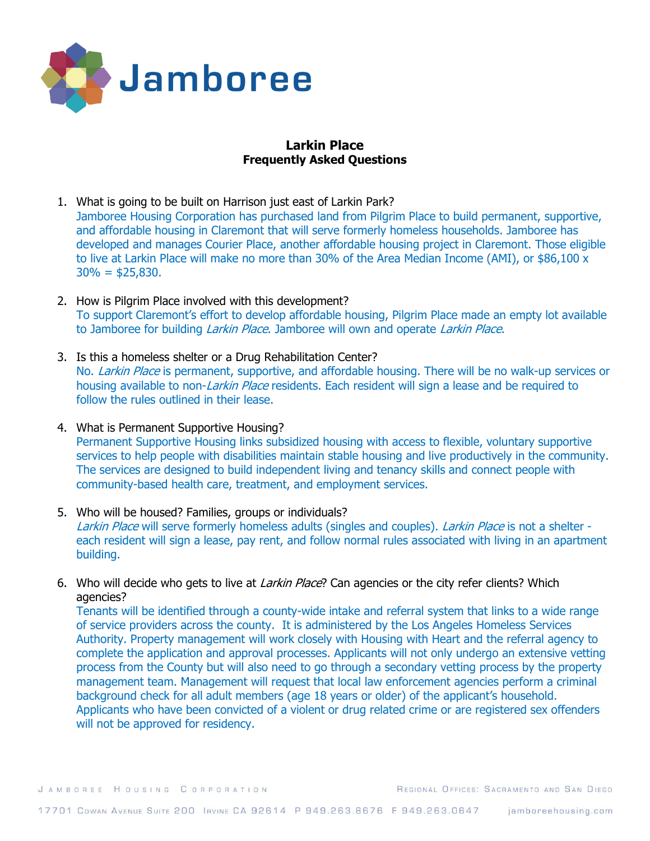

# **Larkin Place Frequently Asked Questions**

- 1. What is going to be built on Harrison just east of Larkin Park? Jamboree Housing Corporation has purchased land from Pilgrim Place to build permanent, supportive, and affordable housing in Claremont that will serve formerly homeless households. Jamboree has developed and manages Courier Place, another affordable housing project in Claremont. Those eligible to live at Larkin Place will make no more than 30% of the Area Median Income (AMI), or \$86,100 x  $30\% = $25,830.$
- 2. How is Pilgrim Place involved with this development? To support Claremont's effort to develop affordable housing, Pilgrim Place made an empty lot available to Jamboree for building *Larkin Place*. Jamboree will own and operate *Larkin Place*.
- 3. Is this a homeless shelter or a Drug Rehabilitation Center? No. Larkin Place is permanent, supportive, and affordable housing. There will be no walk-up services or housing available to non-Larkin Place residents. Each resident will sign a lease and be required to follow the rules outlined in their lease.
- 4. What is Permanent Supportive Housing? Permanent Supportive Housing links subsidized housing with access to flexible, voluntary supportive services to help people with disabilities maintain stable housing and live productively in the community. The services are designed to build independent living and tenancy skills and connect people with community-based health care, treatment, and employment services.
- 5. Who will be housed? Families, groups or individuals? Larkin Place will serve formerly homeless adults (singles and couples). Larkin Place is not a shelter each resident will sign a lease, pay rent, and follow normal rules associated with living in an apartment building.
- 6. Who will decide who gets to live at *Larkin Place*? Can agencies or the city refer clients? Which agencies?

Tenants will be identified through a county-wide intake and referral system that links to a wide range of service providers across the county. It is administered by the Los Angeles Homeless Services Authority. Property management will work closely with Housing with Heart and the referral agency to complete the application and approval processes. Applicants will not only undergo an extensive vetting process from the County but will also need to go through a secondary vetting process by the property management team. Management will request that local law enforcement agencies perform a criminal background check for all adult members (age 18 years or older) of the applicant's household. Applicants who have been convicted of a violent or drug related crime or are registered sex offenders will not be approved for residency.

REGIONAL OFFICES: SACRAMENTO AND SAN DIEGO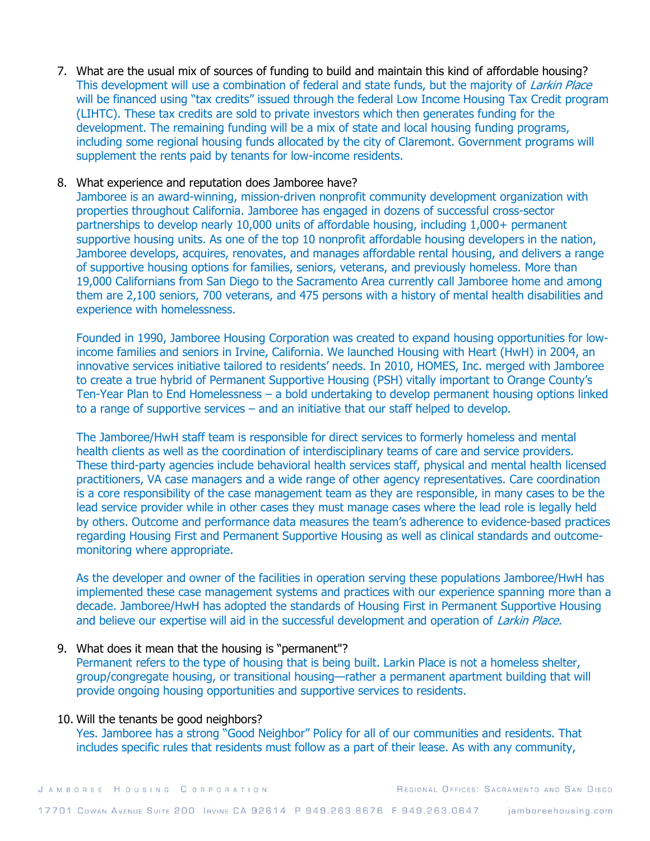7. What are the usual mix of sources of funding to build and maintain this kind of affordable housing? This development will use a combination of federal and state funds, but the majority of Larkin Place will be financed using "tax credits" issued through the federal Low Income Housing Tax Credit program (LIHTC). These tax credits are sold to private investors which then generates funding for the development. The remaining funding will be a mix of state and local housing funding programs, including some regional housing funds allocated by the city of Claremont. Government programs will supplement the rents paid by tenants for low-income residents.

### 8. What experience and reputation does Jamboree have?

Jamboree is an award-winning, mission-driven nonprofit community development organization with properties throughout California. Jamboree has engaged in dozens of successful cross-sector partnerships to develop nearly 10,000 units of affordable housing, including 1,000+ permanent supportive housing units. As one of the top 10 nonprofit affordable housing developers in the nation, Jamboree develops, acquires, renovates, and manages affordable rental housing, and delivers a range of supportive housing options for families, seniors, veterans, and previously homeless. More than 19,000 Californians from San Diego to the Sacramento Area currently call Jamboree home and among them are 2,100 seniors, 700 veterans, and 475 persons with a history of mental health disabilities and experience with homelessness.

Founded in 1990, Jamboree Housing Corporation was created to expand housing opportunities for lowincome families and seniors in Irvine, California. We launched Housing with Heart (HwH) in 2004, an innovative services initiative tailored to residents' needs. In 2010, HOMES, Inc. merged with Jamboree to create a true hybrid of Permanent Supportive Housing (PSH) vitally important to Orange County's Ten-Year Plan to End Homelessness – a bold undertaking to develop permanent housing options linked to a range of supportive services – and an initiative that our staff helped to develop.

The Jamboree/HwH staff team is responsible for direct services to formerly homeless and mental health clients as well as the coordination of interdisciplinary teams of care and service providers. These third-party agencies include behavioral health services staff, physical and mental health licensed practitioners, VA case managers and a wide range of other agency representatives. Care coordination is a core responsibility of the case management team as they are responsible, in many cases to be the lead service provider while in other cases they must manage cases where the lead role is legally held by others. Outcome and performance data measures the team's adherence to evidence-based practices regarding Housing First and Permanent Supportive Housing as well as clinical standards and outcomemonitoring where appropriate.

As the developer and owner of the facilities in operation serving these populations Jamboree/HwH has implemented these case management systems and practices with our experience spanning more than a decade. Jamboree/HwH has adopted the standards of Housing First in Permanent Supportive Housing and believe our expertise will aid in the successful development and operation of *Larkin Place.* 

#### 9. What does it mean that the housing is "permanent"?

Permanent refers to the type of housing that is being built. Larkin Place is not a homeless shelter, group/congregate housing, or transitional housing—rather a permanent apartment building that will provide ongoing housing opportunities and supportive services to residents.

#### 10. Will the tenants be good neighbors?

Yes. Jamboree has a strong "Good Neighbor" Policy for all of our communities and residents. That includes specific rules that residents must follow as a part of their lease. As with any community,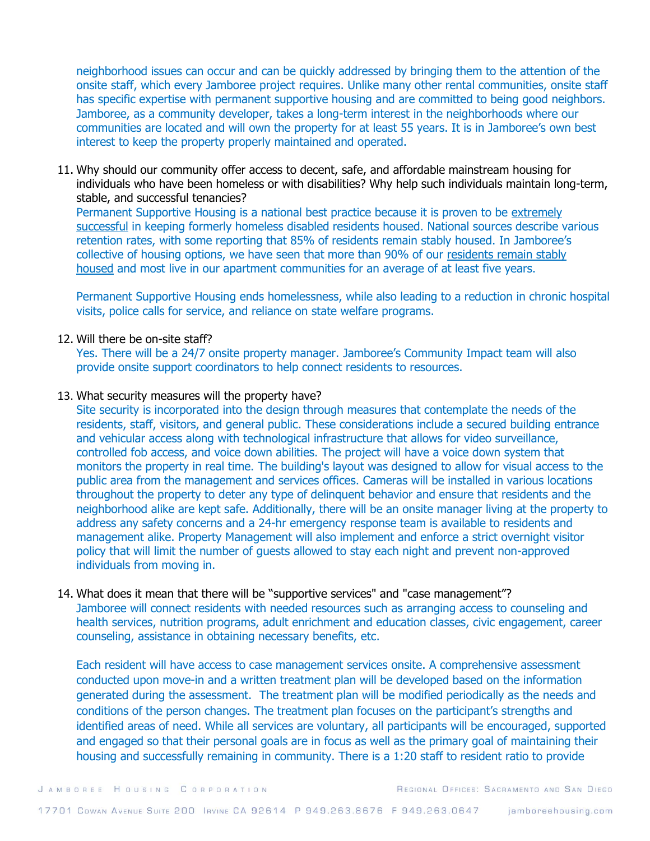neighborhood issues can occur and can be quickly addressed by bringing them to the attention of the onsite staff, which every Jamboree project requires. Unlike many other rental communities, onsite staff has specific expertise with permanent supportive housing and are committed to being good neighbors. Jamboree, as a community developer, takes a long-term interest in the neighborhoods where our communities are located and will own the property for at least 55 years. It is in Jamboree's own best interest to keep the property properly maintained and operated.

11. Why should our community offer access to decent, safe, and affordable mainstream housing for individuals who have been homeless or with disabilities? Why help such individuals maintain long-term, stable, and successful tenancies?

Permanent Supportive Housing is a national best practice because it is proven to be [extremely](https://www.jamboreehousing.com/what-we-do/resident-services/permanent-supportive-housing/stats-studies)  [successful](https://www.jamboreehousing.com/what-we-do/resident-services/permanent-supportive-housing/stats-studies) in keeping formerly homeless disabled residents housed. National sources describe various retention rates, with some reporting that 85% of residents remain stably housed. In Jamboree's collective of housing options, we have seen that more than 90% of our [residents remain stably](https://www.jamboreehousing.com/what-we-do/resident-services/permanent-supportive-housing/solutions#look-of-psh)  [housed](https://www.jamboreehousing.com/what-we-do/resident-services/permanent-supportive-housing/solutions#look-of-psh) and most live in our apartment communities for an average of at least five years.

Permanent Supportive Housing ends homelessness, while also leading to a reduction in chronic hospital visits, police calls for service, and reliance on state welfare programs.

# 12. Will there be on-site staff?

Yes. There will be a 24/7 onsite property manager. Jamboree's Community Impact team will also provide onsite support coordinators to help connect residents to resources.

### 13. What security measures will the property have?

Site security is incorporated into the design through measures that contemplate the needs of the residents, staff, visitors, and general public. These considerations include a secured building entrance and vehicular access along with technological infrastructure that allows for video surveillance, controlled fob access, and voice down abilities. The project will have a voice down system that monitors the property in real time. The building's layout was designed to allow for visual access to the public area from the management and services offices. Cameras will be installed in various locations throughout the property to deter any type of delinquent behavior and ensure that residents and the neighborhood alike are kept safe. Additionally, there will be an onsite manager living at the property to address any safety concerns and a 24-hr emergency response team is available to residents and management alike. Property Management will also implement and enforce a strict overnight visitor policy that will limit the number of guests allowed to stay each night and prevent non-approved individuals from moving in.

# 14. What does it mean that there will be "supportive services" and "case management"?

Jamboree will connect residents with needed resources such as arranging access to counseling and health services, nutrition programs, adult enrichment and education classes, civic engagement, career counseling, assistance in obtaining necessary benefits, etc.

Each resident will have access to case management services onsite. A comprehensive assessment conducted upon move-in and a written treatment plan will be developed based on the information generated during the assessment. The treatment plan will be modified periodically as the needs and conditions of the person changes. The treatment plan focuses on the participant's strengths and identified areas of need. While all services are voluntary, all participants will be encouraged, supported and engaged so that their personal goals are in focus as well as the primary goal of maintaining their housing and successfully remaining in community. There is a 1:20 staff to resident ratio to provide